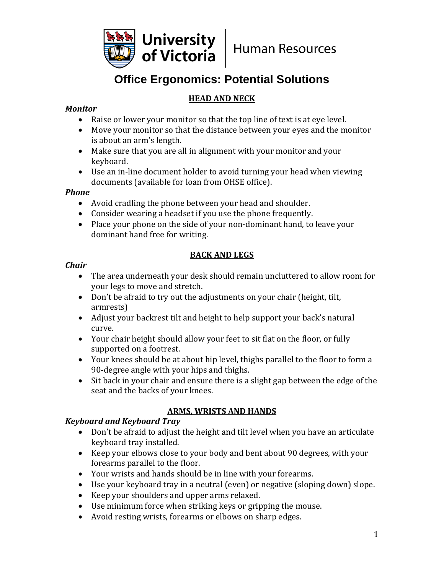

# **Office Ergonomics: Potential Solutions**

## **HEAD AND NECK**

#### *Monitor*

- Raise or lower your monitor so that the top line of text is at eye level.
- Move your monitor so that the distance between your eyes and the monitor is about an arm's length.
- Make sure that you are all in alignment with your monitor and your keyboard.
- Use an in-line document holder to avoid turning your head when viewing documents (available for loan from OHSE office).

#### *Phone*

- Avoid cradling the phone between your head and shoulder.
- Consider wearing a headset if you use the phone frequently.
- Place your phone on the side of your non-dominant hand, to leave your dominant hand free for writing.

#### **BACK AND LEGS**

#### *Chair*

- The area underneath your desk should remain uncluttered to allow room for your legs to move and stretch.
- Don't be afraid to try out the adjustments on your chair (height, tilt, armrests)
- Adjust your backrest tilt and height to help support your back's natural curve.
- Your chair height should allow your feet to sit flat on the floor, or fully supported on a footrest.
- Your knees should be at about hip level, thighs parallel to the floor to form a 90-degree angle with your hips and thighs.
- Sit back in your chair and ensure there is a slight gap between the edge of the seat and the backs of your knees.

# **ARMS, WRISTS AND HANDS**

#### *Keyboard and Keyboard Tray*

- Don't be afraid to adjust the height and tilt level when you have an articulate keyboard tray installed.
- Keep your elbows close to your body and bent about 90 degrees, with your forearms parallel to the floor.
- Your wrists and hands should be in line with your forearms.
- Use your keyboard tray in a neutral (even) or negative (sloping down) slope.
- Keep your shoulders and upper arms relaxed.
- Use minimum force when striking keys or gripping the mouse.
- Avoid resting wrists, forearms or elbows on sharp edges.